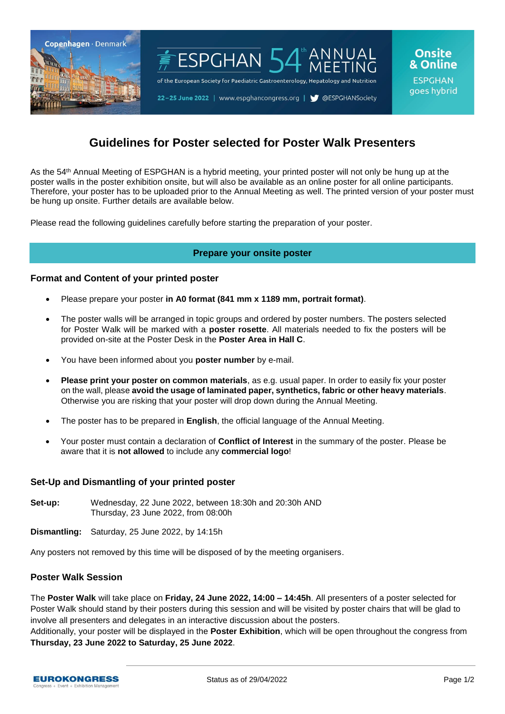

# **Guidelines for Poster selected for Poster Walk Presenters**

As the 54th Annual Meeting of ESPGHAN is a hybrid meeting, your printed poster will not only be hung up at the poster walls in the poster exhibition onsite, but will also be available as an online poster for all online participants. Therefore, your poster has to be uploaded prior to the Annual Meeting as well. The printed version of your poster must be hung up onsite. Further details are available below.

Please read the following guidelines carefully before starting the preparation of your poster.

# **Prepare your onsite poster**

#### **Format and Content of your printed poster**

- Please prepare your poster **in A0 format (841 mm x 1189 mm, portrait format)**.
- The poster walls will be arranged in topic groups and ordered by poster numbers. The posters selected for Poster Walk will be marked with a **poster rosette**. All materials needed to fix the posters will be provided on-site at the Poster Desk in the **Poster Area in Hall C**.
- You have been informed about you **poster number** by e-mail.
- **Please print your poster on common materials**, as e.g. usual paper. In order to easily fix your poster on the wall, please **avoid the usage of laminated paper, synthetics, fabric or other heavy materials**. Otherwise you are risking that your poster will drop down during the Annual Meeting.
- The poster has to be prepared in **English**, the official language of the Annual Meeting.
- Your poster must contain a declaration of **Conflict of Interest** in the summary of the poster. Please be aware that it is **not allowed** to include any **commercial logo**!

#### **Set-Up and Dismantling of your printed poster**

**Set-up:** Wednesday, 22 June 2022, between 18:30h and 20:30h AND Thursday, 23 June 2022, from 08:00h

**Dismantling:** Saturday, 25 June 2022, by 14:15h

Any posters not removed by this time will be disposed of by the meeting organisers.

#### **Poster Walk Session**

The **Poster Walk** will take place on **Friday, 24 June 2022, 14:00 – 14:45h**. All presenters of a poster selected for Poster Walk should stand by their posters during this session and will be visited by poster chairs that will be glad to involve all presenters and delegates in an interactive discussion about the posters.

Additionally, your poster will be displayed in the **Poster Exhibition**, which will be open throughout the congress from **Thursday, 23 June 2022 to Saturday, 25 June 2022**.